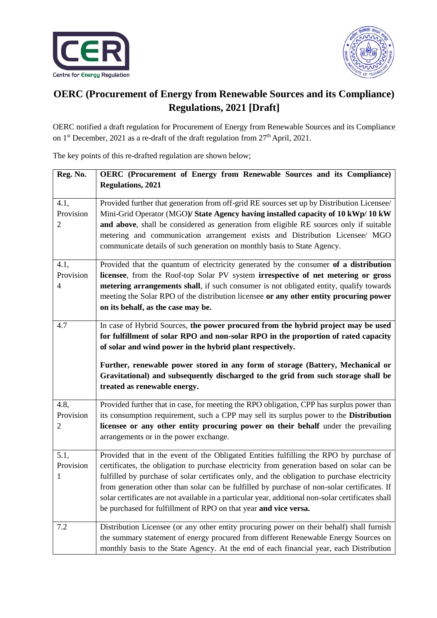



## **OERC (Procurement of Energy from Renewable Sources and its Compliance) Regulations, 2021 [Draft]**

OERC notified a draft regulation for Procurement of Energy from Renewable Sources and its Compliance on 1<sup>st</sup> December, 2021 as a re-draft of the draft regulation from 27<sup>th</sup> April, 2021.

The key points of this re-drafted regulation are shown below;

| Reg. No.                            | OERC (Procurement of Energy from Renewable Sources and its Compliance)                                                                                                                                                                                                                                                                                                                                                                                                                                                                                        |
|-------------------------------------|---------------------------------------------------------------------------------------------------------------------------------------------------------------------------------------------------------------------------------------------------------------------------------------------------------------------------------------------------------------------------------------------------------------------------------------------------------------------------------------------------------------------------------------------------------------|
|                                     | <b>Regulations, 2021</b>                                                                                                                                                                                                                                                                                                                                                                                                                                                                                                                                      |
| 4.1,<br>Provision<br>$\overline{c}$ | Provided further that generation from off-grid RE sources set up by Distribution Licensee/<br>Mini-Grid Operator (MGO)/ State Agency having installed capacity of 10 kWp/ 10 kW<br>and above, shall be considered as generation from eligible RE sources only if suitable<br>metering and communication arrangement exists and Distribution Licensee/ MGO<br>communicate details of such generation on monthly basis to State Agency.                                                                                                                         |
| 4.1,<br>Provision<br>4              | Provided that the quantum of electricity generated by the consumer of a distribution<br>licensee, from the Roof-top Solar PV system irrespective of net metering or gross<br>metering arrangements shall, if such consumer is not obligated entity, qualify towards<br>meeting the Solar RPO of the distribution licensee or any other entity procuring power<br>on its behalf, as the case may be.                                                                                                                                                           |
| 4.7                                 | In case of Hybrid Sources, the power procured from the hybrid project may be used<br>for fulfillment of solar RPO and non-solar RPO in the proportion of rated capacity<br>of solar and wind power in the hybrid plant respectively.<br>Further, renewable power stored in any form of storage (Battery, Mechanical or<br>Gravitational) and subsequently discharged to the grid from such storage shall be<br>treated as renewable energy.                                                                                                                   |
| 4.8,<br>Provision<br>2              | Provided further that in case, for meeting the RPO obligation, CPP has surplus power than<br>its consumption requirement, such a CPP may sell its surplus power to the <b>Distribution</b><br>licensee or any other entity procuring power on their behalf under the prevailing<br>arrangements or in the power exchange.                                                                                                                                                                                                                                     |
| 5.1,<br>Provision<br>1              | Provided that in the event of the Obligated Entities fulfilling the RPO by purchase of<br>certificates, the obligation to purchase electricity from generation based on solar can be<br>fulfilled by purchase of solar certificates only, and the obligation to purchase electricity<br>from generation other than solar can be fulfilled by purchase of non-solar certificates. If<br>solar certificates are not available in a particular year, additional non-solar certificates shall<br>be purchased for fulfillment of RPO on that year and vice versa. |
| 7.2                                 | Distribution Licensee (or any other entity procuring power on their behalf) shall furnish<br>the summary statement of energy procured from different Renewable Energy Sources on<br>monthly basis to the State Agency. At the end of each financial year, each Distribution                                                                                                                                                                                                                                                                                   |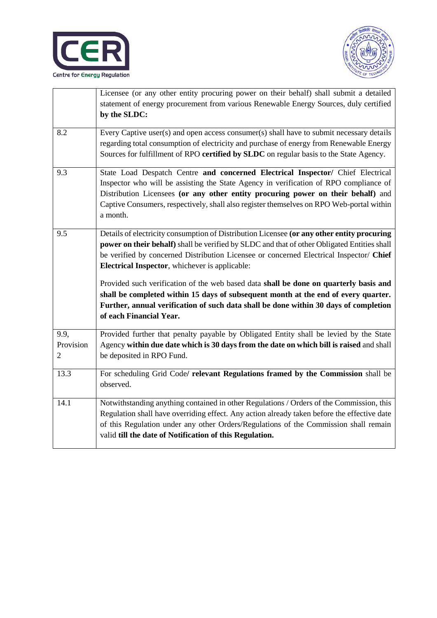



|                | Licensee (or any other entity procuring power on their behalf) shall submit a detailed      |
|----------------|---------------------------------------------------------------------------------------------|
|                | statement of energy procurement from various Renewable Energy Sources, duly certified       |
|                | by the SLDC:                                                                                |
|                |                                                                                             |
| 8.2            | Every Captive user(s) and open access consumer(s) shall have to submit necessary details    |
|                | regarding total consumption of electricity and purchase of energy from Renewable Energy     |
|                | Sources for fulfillment of RPO certified by SLDC on regular basis to the State Agency.      |
| 9.3            | State Load Despatch Centre and concerned Electrical Inspector/ Chief Electrical             |
|                | Inspector who will be assisting the State Agency in verification of RPO compliance of       |
|                | Distribution Licensees (or any other entity procuring power on their behalf) and            |
|                | Captive Consumers, respectively, shall also register themselves on RPO Web-portal within    |
|                | a month.                                                                                    |
|                |                                                                                             |
| 9.5            | Details of electricity consumption of Distribution Licensee (or any other entity procuring  |
|                | power on their behalf) shall be verified by SLDC and that of other Obligated Entities shall |
|                | be verified by concerned Distribution Licensee or concerned Electrical Inspector/ Chief     |
|                | <b>Electrical Inspector</b> , whichever is applicable:                                      |
|                | Provided such verification of the web based data shall be done on quarterly basis and       |
|                | shall be completed within 15 days of subsequent month at the end of every quarter.          |
|                | Further, annual verification of such data shall be done within 30 days of completion        |
|                | of each Financial Year.                                                                     |
|                |                                                                                             |
| 9.9,           | Provided further that penalty payable by Obligated Entity shall be levied by the State      |
| Provision      | Agency within due date which is 30 days from the date on which bill is raised and shall     |
| $\overline{2}$ | be deposited in RPO Fund.                                                                   |
|                |                                                                                             |
| 13.3           | For scheduling Grid Code/ relevant Regulations framed by the Commission shall be            |
|                | observed.                                                                                   |
|                |                                                                                             |
| 14.1           | Notwithstanding anything contained in other Regulations / Orders of the Commission, this    |
|                | Regulation shall have overriding effect. Any action already taken before the effective date |
|                | of this Regulation under any other Orders/Regulations of the Commission shall remain        |
|                | valid till the date of Notification of this Regulation.                                     |
|                |                                                                                             |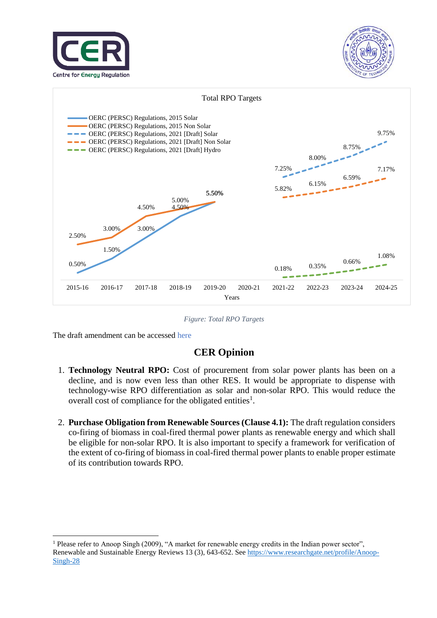





*Figure: Total RPO Targets*

The draft amendment can be accessed here

1

## **CER Opinion**

- 1. **Technology Neutral RPO:** Cost of procurement from solar power plants has been on a decline, and is now even less than other RES. It would be appropriate to dispense with technology-wise RPO differentiation as solar and non-solar RPO. This would reduce the overall cost of compliance for the obligated entities<sup>1</sup>.
- 2. **Purchase Obligation from Renewable Sources (Clause 4.1):** The draft regulation considers co-firing of biomass in coal-fired thermal power plants as renewable energy and which shall be eligible for non-solar RPO. It is also important to specify a framework for verification of the extent of co-firing of biomass in coal-fired thermal power plants to enable proper estimate of its contribution towards RPO.

<sup>1</sup> Please refer to Anoop Singh (2009), "A market for renewable energy credits in the Indian power sector", Renewable and Sustainable Energy Reviews 13 (3), 643-652. See [https://www.researchgate.net/profile/Anoop-](https://www.researchgate.net/profile/Anoop-Singh-28)[Singh-28](https://www.researchgate.net/profile/Anoop-Singh-28)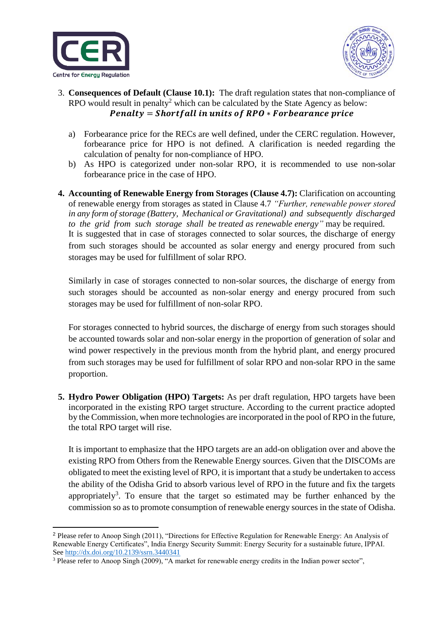



- 3. **Consequences of Default (Clause 10.1):** The draft regulation states that non-compliance of RPO would result in penalty<sup>2</sup> which can be calculated by the State Agency as below:  $Penalty = Shortfall$  in units of  $RPO * For be a range price$ 
	- a) Forbearance price for the RECs are well defined, under the CERC regulation. However, forbearance price for HPO is not defined. A clarification is needed regarding the calculation of penalty for non-compliance of HPO.
	- b) As HPO is categorized under non-solar RPO, it is recommended to use non-solar forbearance price in the case of HPO.
- **4. Accounting of Renewable Energy from Storages (Clause 4.7):** Clarification on accounting of renewable energy from storages as stated in Clause 4.7 *"Further, renewable power stored in any form of storage (Battery, Mechanical or Gravitational) and subsequently discharged to the grid from such storage shall be treated as renewable energy"* may be required. It is suggested that in case of storages connected to solar sources, the discharge of energy from such storages should be accounted as solar energy and energy procured from such storages may be used for fulfillment of solar RPO.

Similarly in case of storages connected to non-solar sources, the discharge of energy from such storages should be accounted as non-solar energy and energy procured from such storages may be used for fulfillment of non-solar RPO.

For storages connected to hybrid sources, the discharge of energy from such storages should be accounted towards solar and non-solar energy in the proportion of generation of solar and wind power respectively in the previous month from the hybrid plant, and energy procured from such storages may be used for fulfillment of solar RPO and non-solar RPO in the same proportion.

**5. Hydro Power Obligation (HPO) Targets:** As per draft regulation, HPO targets have been incorporated in the existing RPO target structure. According to the current practice adopted by the Commission, when more technologies are incorporated in the pool of RPO in the future, the total RPO target will rise.

It is important to emphasize that the HPO targets are an add-on obligation over and above the existing RPO from Others from the Renewable Energy sources. Given that the DISCOMs are obligated to meet the existing level of RPO, it is important that a study be undertaken to access the ability of the Odisha Grid to absorb various level of RPO in the future and fix the targets appropriately<sup>3</sup>. To ensure that the target so estimated may be further enhanced by the commission so as to promote consumption of renewable energy sources in the state of Odisha.

 $\overline{a}$ <sup>2</sup> Please refer to Anoop Singh (2011), "Directions for Effective Regulation for Renewable Energy: An Analysis of Renewable Energy Certificates", India Energy Security Summit: Energy Security for a sustainable future, IPPAI. See [http://dx.](http://dx/)doi.org/10.2139/ssrn.3440341

<sup>&</sup>lt;sup>3</sup> Please refer to Anoop Singh (2009), "A market for renewable energy credits in the Indian power sector",